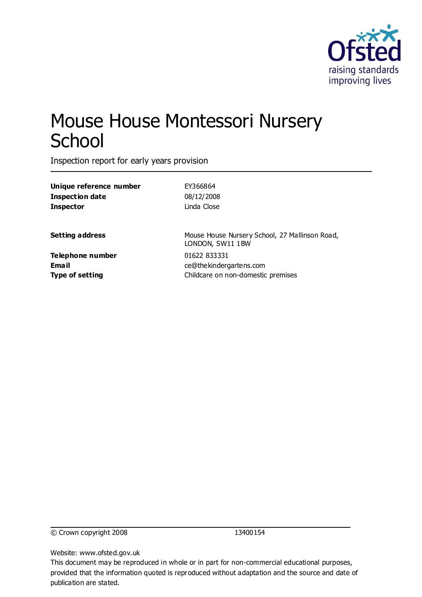

# Mouse House Montessori Nursery **School**

Inspection report for early years provision

| Unique reference number                      | EY366864                                                                      |
|----------------------------------------------|-------------------------------------------------------------------------------|
| Inspection date                              | 08/12/2008                                                                    |
| Inspector                                    | Linda Close                                                                   |
| Setting address                              | Mouse House Nursery School, 27 Mallinson Road,<br>LONDON, SW11 1BW            |
| Telephone number<br>Email<br>Type of setting | 01622 833331<br>ce@thekindergartens.com<br>Childcare on non-domestic premises |
|                                              |                                                                               |

© Crown copyright 2008 13400154

Website: www.ofsted.gov.uk

This document may be reproduced in whole or in part for non-commercial educational purposes, provided that the information quoted is reproduced without adaptation and the source and date of publication are stated.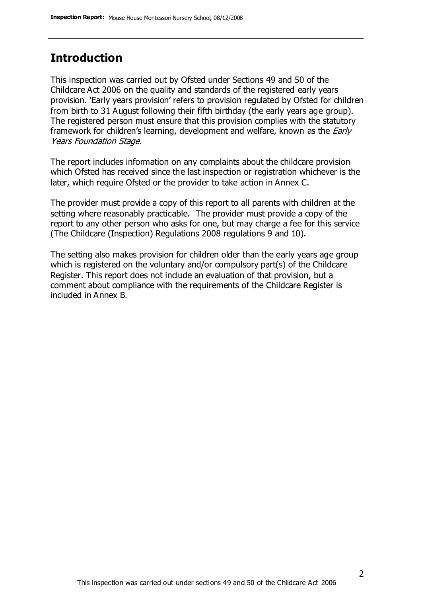### **Introduction**

This inspection was carried out by Ofsted under Sections 49 and 50 of the Childcare Act 2006 on the quality and standards of the registered early years provision. 'Early years provision' refers to provision regulated by Ofsted for children from birth to 31 August following their fifth birthday (the early years age group). The registered person must ensure that this provision complies with the statutory framework for children's learning, development and welfare, known as the *Early* Years Foundation Stage.

The report includes information on any complaints about the childcare provision which Ofsted has received since the last inspection or registration whichever is the later, which require Ofsted or the provider to take action in Annex C.

The provider must provide a copy of this report to all parents with children at the setting where reasonably practicable. The provider must provide a copy of the report to any other person who asks for one, but may charge a fee for this service (The Childcare (Inspection) Regulations 2008 regulations 9 and 10).

The setting also makes provision for children older than the early years age group which is registered on the voluntary and/or compulsory part(s) of the Childcare Register. This report does not include an evaluation of that provision, but a comment about compliance with the requirements of the Childcare Register is included in Annex B.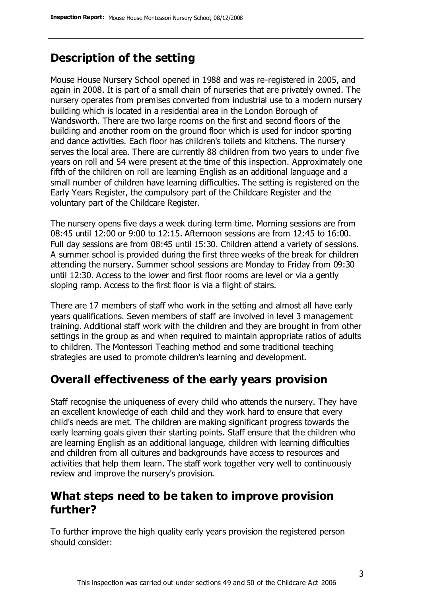### **Description of the setting**

Mouse House Nursery School opened in 1988 and was re-registered in 2005, and again in 2008. It is part of a small chain of nurseries that are privately owned. The nursery operates from premises converted from industrial use to a modern nursery building which is located in a residential area in the London Borough of Wandsworth. There are two large rooms on the first and second floors of the building and another room on the ground floor which is used for indoor sporting and dance activities. Each floor has children's toilets and kitchens. The nursery serves the local area. There are currently 88 children from two years to under five years on roll and 54 were present at the time of this inspection. Approximately one fifth of the children on roll are learning English as an additional language and a small number of children have learning difficulties. The setting is registered on the Early Years Register, the compulsory part of the Childcare Register and the voluntary part of the Childcare Register.

The nursery opens five days a week during term time. Morning sessions are from 08:45 until 12:00 or 9:00 to 12:15. Afternoon sessions are from 12:45 to 16:00. Full day sessions are from 08:45 until 15:30. Children attend a variety of sessions. A summer school is provided during the first three weeks of the break for children attending the nursery. Summer school sessions are Monday to Friday from 09:30 until 12:30. Access to the lower and first floor rooms are level or via a gently sloping ramp. Access to the first floor is via a flight of stairs.

There are 17 members of staff who work in the setting and almost all have early years qualifications. Seven members of staff are involved in level 3 management training. Additional staff work with the children and they are brought in from other settings in the group as and when required to maintain appropriate ratios of adults to children. The Montessori Teaching method and some traditional teaching strategies are used to promote children's learning and development.

### **Overall effectiveness of the early years provision**

Staff recognise the uniqueness of every child who attends the nursery. They have an excellent knowledge of each child and they work hard to ensure that every child's needs are met. The children are making significant progress towards the early learning goals given their starting points. Staff ensure that the children who are learning English as an additional language, children with learning difficulties and children from all cultures and backgrounds have access to resources and activities that help them learn. The staff work together very well to continuously review and improve the nursery's provision.

### **What steps need to be taken to improve provision further?**

To further improve the high quality early years provision the registered person should consider: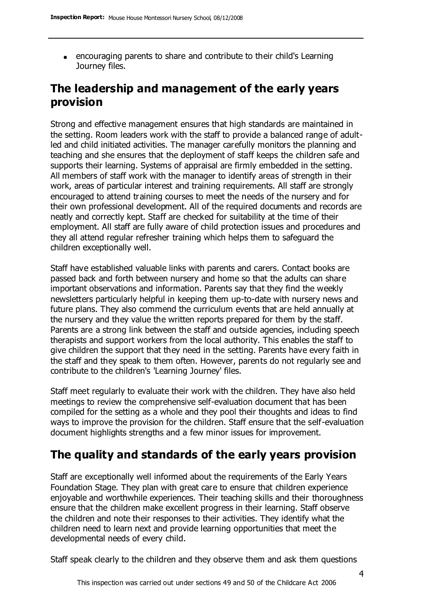encouraging parents to share and contribute to their child's Learning Journey files.

### **The leadership and management of the early years provision**

Strong and effective management ensures that high standards are maintained in the setting. Room leaders work with the staff to provide a balanced range of adultled and child initiated activities. The manager carefully monitors the planning and teaching and she ensures that the deployment of staff keeps the children safe and supports their learning. Systems of appraisal are firmly embedded in the setting. All members of staff work with the manager to identify areas of strength in their work, areas of particular interest and training requirements. All staff are strongly encouraged to attend training courses to meet the needs of the nursery and for their own professional development. All of the required documents and records are neatly and correctly kept. Staff are checked for suitability at the time of their employment. All staff are fully aware of child protection issues and procedures and they all attend regular refresher training which helps them to safeguard the children exceptionally well.

Staff have established valuable links with parents and carers. Contact books are passed back and forth between nursery and home so that the adults can share important observations and information. Parents say that they find the weekly newsletters particularly helpful in keeping them up-to-date with nursery news and future plans. They also commend the curriculum events that are held annually at the nursery and they value the written reports prepared for them by the staff. Parents are a strong link between the staff and outside agencies, including speech therapists and support workers from the local authority. This enables the staff to give children the support that they need in the setting. Parents have every faith in the staff and they speak to them often. However, parents do not regularly see and contribute to the children's 'Learning Journey' files.

Staff meet regularly to evaluate their work with the children. They have also held meetings to review the comprehensive self-evaluation document that has been compiled for the setting as a whole and they pool their thoughts and ideas to find ways to improve the provision for the children. Staff ensure that the self-evaluation document highlights strengths and a few minor issues for improvement.

### **The quality and standards of the early years provision**

Staff are exceptionally well informed about the requirements of the Early Years Foundation Stage. They plan with great care to ensure that children experience enjoyable and worthwhile experiences. Their teaching skills and their thoroughness ensure that the children make excellent progress in their learning. Staff observe the children and note their responses to their activities. They identify what the children need to learn next and provide learning opportunities that meet the developmental needs of every child.

Staff speak clearly to the children and they observe them and ask them questions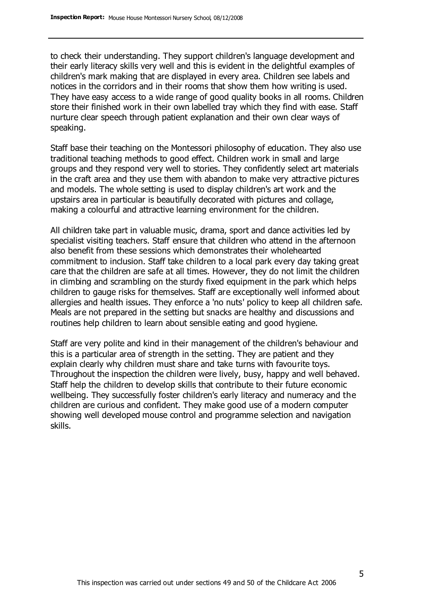to check their understanding. They support children's language development and their early literacy skills very well and this is evident in the delightful examples of children's mark making that are displayed in every area. Children see labels and notices in the corridors and in their rooms that show them how writing is used. They have easy access to a wide range of good quality books in all rooms. Children store their finished work in their own labelled tray which they find with ease. Staff nurture clear speech through patient explanation and their own clear ways of speaking.

Staff base their teaching on the Montessori philosophy of education. They also use traditional teaching methods to good effect. Children work in small and large groups and they respond very well to stories. They confidently select art materials in the craft area and they use them with abandon to make very attractive pictures and models. The whole setting is used to display children's art work and the upstairs area in particular is beautifully decorated with pictures and collage, making a colourful and attractive learning environment for the children.

All children take part in valuable music, drama, sport and dance activities led by specialist visiting teachers. Staff ensure that children who attend in the afternoon also benefit from these sessions which demonstrates their wholehearted commitment to inclusion. Staff take children to a local park every day taking great care that the children are safe at all times. However, they do not limit the children in climbing and scrambling on the sturdy fixed equipment in the park which helps children to gauge risks for themselves. Staff are exceptionally well informed about allergies and health issues. They enforce a 'no nuts' policy to keep all children safe. Meals are not prepared in the setting but snacks are healthy and discussions and routines help children to learn about sensible eating and good hygiene.

Staff are very polite and kind in their management of the children's behaviour and this is a particular area of strength in the setting. They are patient and they explain clearly why children must share and take turns with favourite toys. Throughout the inspection the children were lively, busy, happy and well behaved. Staff help the children to develop skills that contribute to their future economic wellbeing. They successfully foster children's early literacy and numeracy and the children are curious and confident. They make good use of a modern computer showing well developed mouse control and programme selection and navigation skills.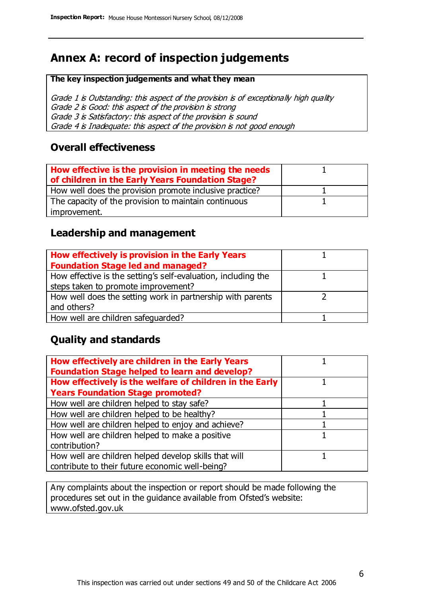## **Annex A: record of inspection judgements**

#### **The key inspection judgements and what they mean**

Grade 1 is Outstanding: this aspect of the provision is of exceptionally high quality Grade 2 is Good: this aspect of the provision is strong Grade 3 is Satisfactory: this aspect of the provision is sound Grade 4 is Inadequate: this aspect of the provision is not good enough

### **Overall effectiveness**

| How effective is the provision in meeting the needs<br>of children in the Early Years Foundation Stage? |  |
|---------------------------------------------------------------------------------------------------------|--|
| How well does the provision promote inclusive practice?                                                 |  |
| The capacity of the provision to maintain continuous                                                    |  |
| improvement.                                                                                            |  |

### **Leadership and management**

| How effectively is provision in the Early Years               |  |
|---------------------------------------------------------------|--|
| <b>Foundation Stage led and managed?</b>                      |  |
| How effective is the setting's self-evaluation, including the |  |
| steps taken to promote improvement?                           |  |
| How well does the setting work in partnership with parents    |  |
| and others?                                                   |  |
| How well are children safequarded?                            |  |

### **Quality and standards**

| How effectively are children in the Early Years<br><b>Foundation Stage helped to learn and develop?</b> |  |
|---------------------------------------------------------------------------------------------------------|--|
| How effectively is the welfare of children in the Early                                                 |  |
| <b>Years Foundation Stage promoted?</b>                                                                 |  |
| How well are children helped to stay safe?                                                              |  |
| How well are children helped to be healthy?                                                             |  |
| How well are children helped to enjoy and achieve?                                                      |  |
| How well are children helped to make a positive                                                         |  |
| contribution?                                                                                           |  |
| How well are children helped develop skills that will                                                   |  |
| contribute to their future economic well-being?                                                         |  |

Any complaints about the inspection or report should be made following the procedures set out in the guidance available from Ofsted's website: www.ofsted.gov.uk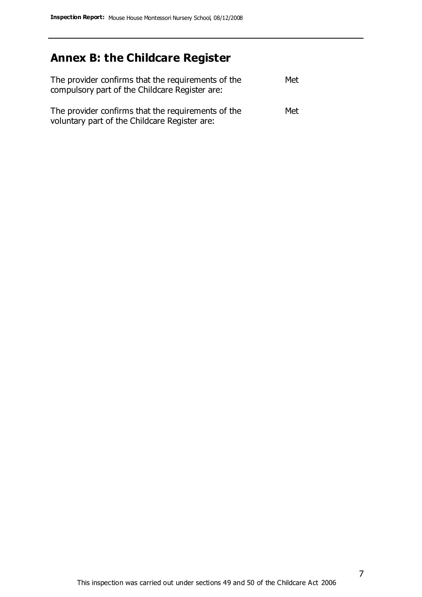# **Annex B: the Childcare Register**

| The provider confirms that the requirements of the<br>compulsory part of the Childcare Register are: | Met |
|------------------------------------------------------------------------------------------------------|-----|
| The provider confirms that the requirements of the<br>voluntary part of the Childcare Register are:  | Met |